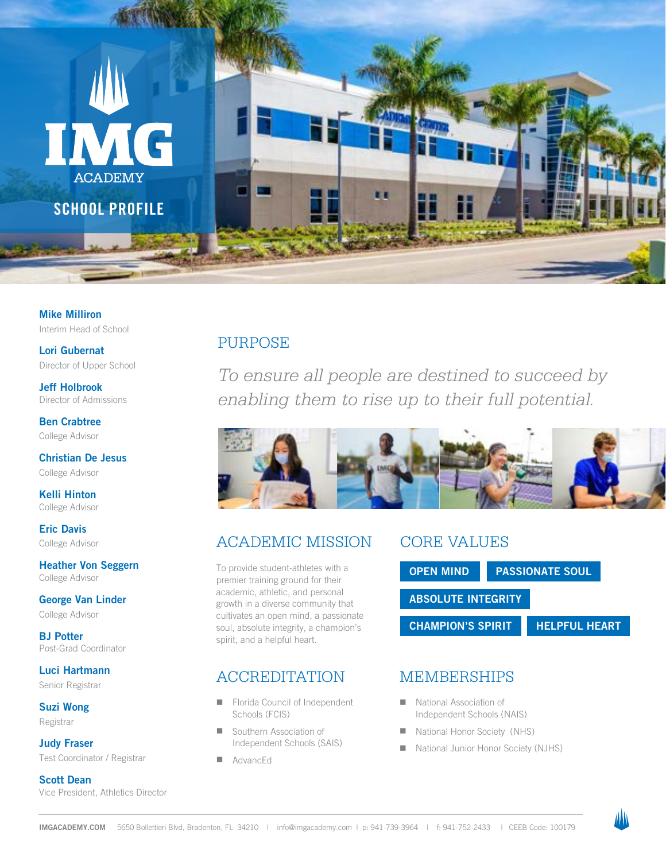

Mike Milliron Interim Head of School

Lori Gubernat Director of Upper School

Jeff Holbrook Director of Admissions

Ben Crabtree College Advisor

Christian De Jesus College Advisor

Kelli Hinton College Advisor

Eric Davis College Advisor

Heather Von Seggern College Advisor

George Van Linder College Advisor

BJ Potter Post-Grad Coordinator

Luci Hartmann Senior Registrar

Suzi Wong Registrar

Judy Fraser Test Coordinator / Registrar

Scott Dean Vice President, Athletics Director

### PURPOSE

*To ensure all people are destined to succeed by enabling them to rise up to their full potential.*



### ACADEMIC MISSION

To provide student-athletes with a premier training ground for their academic, athletic, and personal growth in a diverse community that cultivates an open mind, a passionate soul, absolute integrity, a champion's spirit, and a helpful heart.

### ACCREDITATION

- Florida Council of Independent Schools (FCIS)
- Southern Association of Independent Schools (SAIS)
- **N** AdvancEd

## CORE VALUES



### MEMBERSHIPS

- National Association of Independent Schools (NAIS)
- National Honor Society (NHS)
- National Junior Honor Society (NJHS)

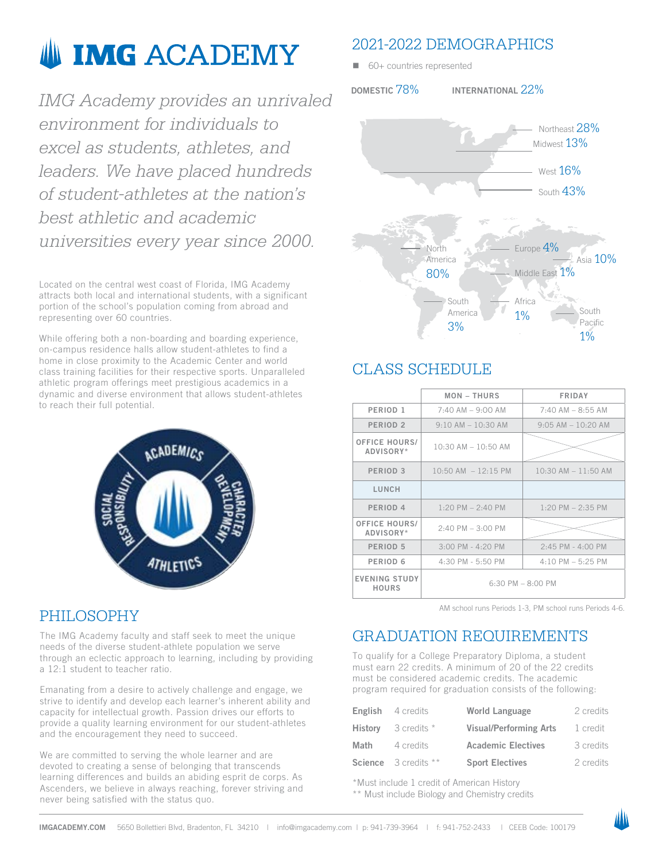# **IMG ACADEMY**

*IMG Academy provides an unrivaled environment for individuals to excel as students, athletes, and leaders. We have placed hundreds of student-athletes at the nation's best athletic and academic universities every year since 2000.*

Located on the central west coast of Florida, IMG Academy attracts both local and international students, with a significant portion of the school's population coming from abroad and representing over 60 countries.

While offering both a non-boarding and boarding experience, on-campus residence halls allow student-athletes to find a home in close proximity to the Academic Center and world class training facilities for their respective sports. Unparalleled athletic program offerings meet prestigious academics in a dynamic and diverse environment that allows student-athletes to reach their full potential.



### PHILOSOPHY

The IMG Academy faculty and staff seek to meet the unique needs of the diverse student-athlete population we serve through an eclectic approach to learning, including by providing a 12:1 student to teacher ratio.

Emanating from a desire to actively challenge and engage, we strive to identify and develop each learner's inherent ability and capacity for intellectual growth. Passion drives our efforts to provide a quality learning environment for our student-athletes and the encouragement they need to succeed.

We are committed to serving the whole learner and are devoted to creating a sense of belonging that transcends learning differences and builds an abiding esprit de corps. As Ascenders, we believe in always reaching, forever striving and never being satisfied with the status quo.

### 2021-2022 DEMOGRAPHICS

 $\Box$  60+ countries represented

DOMESTIC 78% INTERNATIONAL 22%



### CLASS SCHEDULE

|                                      | <b>MON-THURS</b>        | <b>FRIDAY</b>          |  |
|--------------------------------------|-------------------------|------------------------|--|
| PERIOD <sub>1</sub>                  | $7:40$ AM $-9:00$ AM    | $7:40$ AM $-$ 8:55 AM  |  |
| PERIOD <sub>2</sub>                  | $9:10$ AM $-10:30$ AM   | $9:05$ AM $-10:20$ AM  |  |
| <b>OFFICE HOURS/</b><br>ADVISORY*    | $10:30$ AM $- 10:50$ AM |                        |  |
| PERIOD <sub>3</sub>                  | $10:50$ AM $-12:15$ PM  | $10:30$ AM $-11:50$ AM |  |
| LUNCH                                |                         |                        |  |
| PERIOD <sub>4</sub>                  | $1:20$ PM $- 2:40$ PM   | $1:20$ PM $- 2:35$ PM  |  |
| <b>OFFICE HOURS/</b><br>ADVISORY*    | $2:40$ PM $- 3:00$ PM   |                        |  |
| PERIOD <sub>5</sub>                  | $3:00$ PM - 4:20 PM     | $2:45$ PM - $4:00$ PM  |  |
| PERIOD <sub>6</sub>                  | 4:30 PM - 5:50 PM       | $4:10$ PM $-5:25$ PM   |  |
| <b>EVENING STUDY</b><br><b>HOURS</b> | $6:30$ PM $- 8:00$ PM   |                        |  |

AM school runs Periods 1-3, PM school runs Periods 4-6.

### GRADUATION REQUIREMENTS

To qualify for a College Preparatory Diploma, a student must earn 22 credits. A minimum of 20 of the 22 credits must be considered academic credits. The academic program required for graduation consists of the following:

|                | <b>English</b> 4 credits    | World Language                | 2 credits |
|----------------|-----------------------------|-------------------------------|-----------|
| <b>History</b> | 3 credits *                 | <b>Visual/Performing Arts</b> | 1 credit  |
| Math           | 4 credits                   | <b>Academic Electives</b>     | 3 credits |
|                | <b>Science</b> 3 credits ** | <b>Sport Electives</b>        | 2 credits |

\*Must include 1 credit of American History \*\* Must include Biology and Chemistry credits

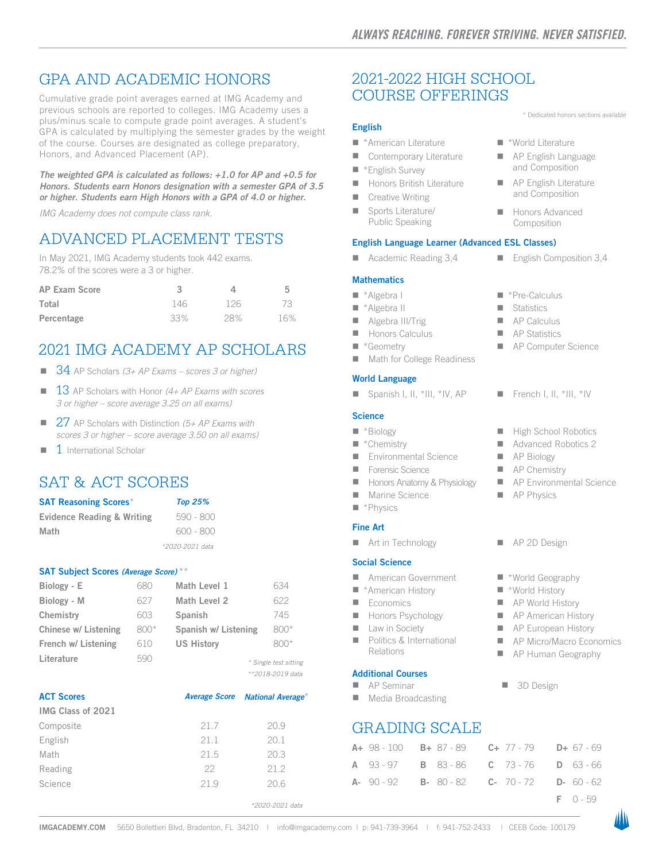### GPA AND ACADEMIC HONORS

Cumulative grade point averages earned at IMG Academy and previous schools are reported to colleges. IMG Academy uses a plus/minus scale to compute grade point averages. A student's GPA is calculated by multiplying the semester grades by the weight of the course. Courses are designated as college preparatory, Honors, and Advanced Placement (AP).

*The weighted GPA is calculated as follows: +1.0 for AP and +0.5 for Honors. Students earn Honors designation with a semester GPA of 3.5 or higher. Students earn High Honors with a GPA of 4.0 or higher.* 

*IMG Academy does not compute class rank.* 

### ADVANCED PLACEMENT TESTS

In May 2021, IMG Academy students took 442 exams. 78.2% of the scores were a 3 or higher.

| <b>AP Exam Score</b> |     |     | 5   |
|----------------------|-----|-----|-----|
| Total                | 146 | 126 | 73  |
| Percentage           | 33% | 28% | 16% |

### 2021 IMG ACADEMY AP SCHOLARS

- 34 AP Scholars *(3+ AP Exams scores 3 or higher)*
- <sup>n</sup> 13 AP Scholars with Honor *(4+ AP Exams with scores 3 or higher – score average 3.25 on all exams)*
- 27 AP Scholars with Distinction (5+ AP Exams with *scores 3 or higher – score average 3.50 on all exams)*
- $1$  International Scholar

### SAT & ACT SCORES

| <b>SAT Reasoning Scores*</b>          | <b>Top 25%</b>  |
|---------------------------------------|-----------------|
| <b>Evidence Reading &amp; Writing</b> | 590 - 800       |
| Math                                  | $600 - 800$     |
|                                       | *2020-2021 data |

#### SAT Subject Scores *(Average Score)* \*\*

| Biology - E          | 680  | Math Level 1         | 634                                          |
|----------------------|------|----------------------|----------------------------------------------|
| Biology - M          | 627  | Math Level 2         | 622                                          |
| Chemistry            | 603  | Spanish              | 745                                          |
| Chinese w/ Listening | 800* | Spanish w/ Listening | $800*$                                       |
| French w/ Listening  | 610  | <b>US History</b>    | $800*$                                       |
| Literature           | 590  |                      | * Single test sitting<br>$*$ *2018-2019 data |

| <b>ACT Scores</b> |      | Average Score National Average* |
|-------------------|------|---------------------------------|
| IMG Class of 2021 |      |                                 |
| Composite         | 21.7 | 20.9                            |
| English           | 21.1 | 20.1                            |
| Math              | 21.5 | 20.3                            |
| Reading           | 22   | 21.2                            |
| Science           | 21.9 | 20.6                            |
|                   |      | *2020-2021 data                 |

### 2021-2022 HIGH SCHOOL COURSE OFFERINGS

#### English

- \*American Literature
- Contemporary Literature
- $\blacksquare$  \*English Survey
- Honors British Literature
- $\blacksquare$  Creative Writing
- Sports Literature/
- English Language Learner (Advanced ESL Classes)

Public Speaking

■ Academic Reading  $3,4$  ■ English Composition  $3,4$ 

#### **Mathematics**

- \*Algebra I
- \*Algebra II
- Algebra III/Trig
- Honors Calculus
- \*Geometry
- Math for College Readiness

### World Language

**n** Spanish I, II, \*III, \*IV, AP French I, II, \*III, \*IV

#### **Science**

- \*Biology
- $\blacksquare$  \*Chemistry
- **E** Environmental Science
- n Forensic Science
- **Honors Anatomy & Physiology**
- Marine Science
- $\blacksquare$  \*Physics

#### Fine Art

■ Art in Technology → ■ AP 2D Design

#### Social Science

- **American Government**
- \*American History
- $\blacksquare$  Economics
- **n** Honors Psychology
- **n** Law in Society
- Politics & International Relations

#### Additional Courses

- $\blacksquare$  AP Seminar
- Media Broadcasting

### GRADING SCALE

|  |  | A+ 98-100 B+ 87-89 C+ 77-79 D+ 67-69                            |  |
|--|--|-----------------------------------------------------------------|--|
|  |  | <b>A</b> 93-97 <b>B</b> 83-86 <b>C</b> 73-76 <b>D</b> 63-66     |  |
|  |  | <b>A-</b> 90-92 <b>B-</b> 80-82 <b>C-</b> 70-72 <b>D-</b> 60-62 |  |

F 0 - 59

■ \*World Literature **n** AP English Language and Composition  $\blacksquare$  AP English Literature and Composition **Honors Advanced** Composition

\* Dedicated honors sections available

- $"$  \*Pre-Calculus
- **n** Statistics
- $A$ P Calculus
- $A$ P Statistics
- **n** AP Computer Science
- 
- $\blacksquare$  High School Robotics
- Advanced Robotics 2
- AP Biology
- $A$ P Chemistry
- AP Environmental Science
- $\blacksquare$  AP Physics
- 
- \*World Geography
- \*World History
- **AP World History**
- **n** AP American History
- **N** AP European History
- AP Micro/Macro Economics
- **AP Human Geography**
- 3D Design